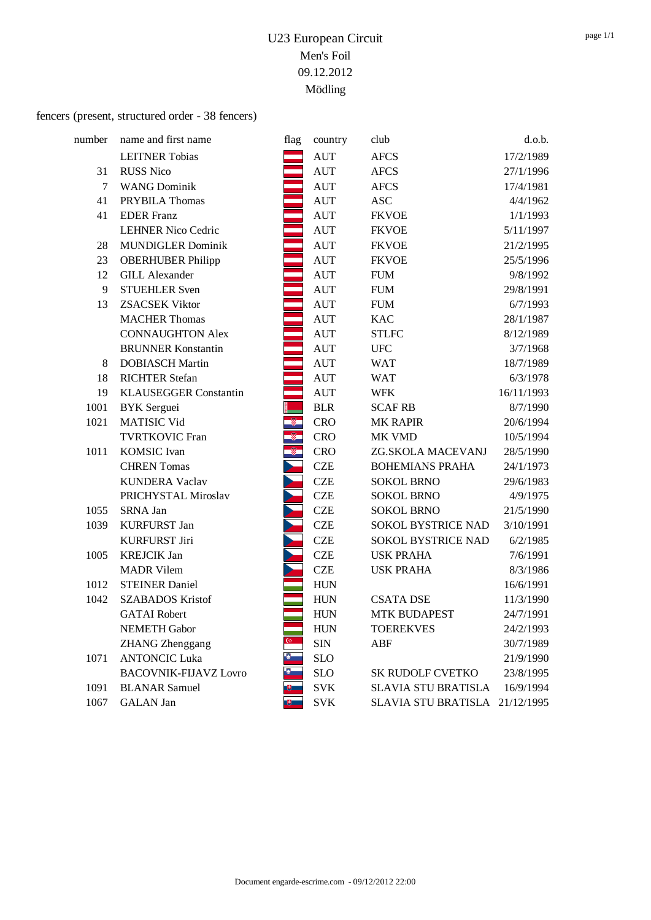# fencers (present, structured order - 38 fencers)

| number | name and first name          | flag                    | country            | club                           | d.o.b.     |
|--------|------------------------------|-------------------------|--------------------|--------------------------------|------------|
|        | <b>LEITNER Tobias</b>        |                         | <b>AUT</b>         | <b>AFCS</b>                    | 17/2/1989  |
| 31     | <b>RUSS Nico</b>             |                         | <b>AUT</b>         | <b>AFCS</b>                    | 27/1/1996  |
| 7      | <b>WANG Dominik</b>          |                         | <b>AUT</b>         | <b>AFCS</b>                    | 17/4/1981  |
| 41     | PRYBILA Thomas               |                         | <b>AUT</b>         | <b>ASC</b>                     | 4/4/1962   |
| 41     | <b>EDER</b> Franz            |                         | $\mathop{\rm AUT}$ | <b>FKVOE</b>                   | 1/1/1993   |
|        | <b>LEHNER Nico Cedric</b>    |                         | <b>AUT</b>         | <b>FKVOE</b>                   | 5/11/1997  |
| 28     | <b>MUNDIGLER Dominik</b>     |                         | <b>AUT</b>         | <b>FKVOE</b>                   | 21/2/1995  |
| 23     | <b>OBERHUBER Philipp</b>     |                         | $\mathop{\rm AUT}$ | <b>FKVOE</b>                   | 25/5/1996  |
| 12     | <b>GILL Alexander</b>        |                         | $\mathop{\rm AUT}$ | <b>FUM</b>                     | 9/8/1992   |
| 9      | <b>STUEHLER Sven</b>         |                         | AUT                | <b>FUM</b>                     | 29/8/1991  |
| 13     | <b>ZSACSEK Viktor</b>        |                         | <b>AUT</b>         | <b>FUM</b>                     | 6/7/1993   |
|        | <b>MACHER Thomas</b>         |                         | <b>AUT</b>         | <b>KAC</b>                     | 28/1/1987  |
|        | <b>CONNAUGHTON Alex</b>      |                         | $\mathop{\rm AUT}$ | <b>STLFC</b>                   | 8/12/1989  |
|        | <b>BRUNNER Konstantin</b>    |                         | <b>AUT</b>         | <b>UFC</b>                     | 3/7/1968   |
| 8      | <b>DOBIASCH Martin</b>       |                         | <b>AUT</b>         | <b>WAT</b>                     | 18/7/1989  |
| 18     | <b>RICHTER Stefan</b>        |                         | <b>AUT</b>         | <b>WAT</b>                     | 6/3/1978   |
| 19     | <b>KLAUSEGGER Constantin</b> | ÷.                      | <b>AUT</b>         | <b>WFK</b>                     | 16/11/1993 |
| 1001   | <b>BYK</b> Serguei           |                         | <b>BLR</b>         | <b>SCAF RB</b>                 | 8/7/1990   |
| 1021   | <b>MATISIC Vid</b>           | $\circledast$           | <b>CRO</b>         | <b>MK RAPIR</b>                | 20/6/1994  |
|        | <b>TVRTKOVIC Fran</b>        | $\overline{\mathbb{Z}}$ | <b>CRO</b>         | MK VMD                         | 10/5/1994  |
| 1011   | <b>KOMSIC</b> Ivan           | Q.                      | <b>CRO</b>         | ZG.SKOLA MACEVANJ              | 28/5/1990  |
|        | <b>CHREN</b> Tomas           |                         | <b>CZE</b>         | <b>BOHEMIANS PRAHA</b>         | 24/1/1973  |
|        | <b>KUNDERA Vaclav</b>        |                         | <b>CZE</b>         | <b>SOKOL BRNO</b>              | 29/6/1983  |
|        | PRICHYSTAL Miroslav          |                         | <b>CZE</b>         | <b>SOKOL BRNO</b>              | 4/9/1975   |
| 1055   | SRNA Jan                     |                         | <b>CZE</b>         | <b>SOKOL BRNO</b>              | 21/5/1990  |
| 1039   | <b>KURFURST Jan</b>          |                         | <b>CZE</b>         | SOKOL BYSTRICE NAD             | 3/10/1991  |
|        | <b>KURFURST Jiri</b>         |                         | <b>CZE</b>         | <b>SOKOL BYSTRICE NAD</b>      | 6/2/1985   |
| 1005   | <b>KREJCIK Jan</b>           |                         | <b>CZE</b>         | <b>USK PRAHA</b>               | 7/6/1991   |
|        | <b>MADR Vilem</b>            |                         | <b>CZE</b>         | <b>USK PRAHA</b>               | 8/3/1986   |
| 1012   | <b>STEINER Daniel</b>        |                         | <b>HUN</b>         |                                | 16/6/1991  |
| 1042   | <b>SZABADOS Kristof</b>      |                         | <b>HUN</b>         | <b>CSATA DSE</b>               | 11/3/1990  |
|        | <b>GATAI</b> Robert          |                         | <b>HUN</b>         | <b>MTK BUDAPEST</b>            | 24/7/1991  |
|        | <b>NEMETH Gabor</b>          |                         | <b>HUN</b>         | <b>TOEREKVES</b>               | 24/2/1993  |
|        | <b>ZHANG</b> Zhenggang       |                         | <b>SIN</b>         | ABF                            | 30/7/1989  |
| 1071   | <b>ANTONCIC Luka</b>         |                         | <b>SLO</b>         |                                | 21/9/1990  |
|        | <b>BACOVNIK-FIJAVZ Lovro</b> |                         | <b>SLO</b>         | <b>SK RUDOLF CVETKO</b>        | 23/8/1995  |
| 1091   | <b>BLANAR</b> Samuel         |                         | <b>SVK</b>         | <b>SLAVIA STU BRATISLA</b>     | 16/9/1994  |
| 1067   | <b>GALAN</b> Jan             |                         | <b>SVK</b>         | SLAVIA STU BRATISLA 21/12/1995 |            |
|        |                              |                         |                    |                                |            |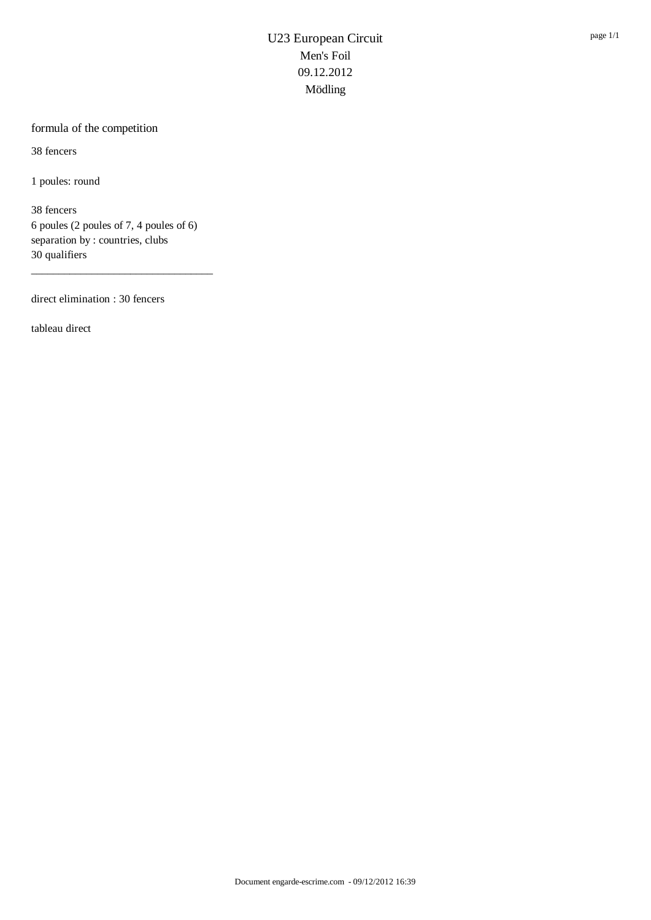### formula of the competition

38 fencers

1 poules: round

38 fencers 6 poules (2 poules of 7, 4 poules of 6) separation by : countries, clubs 30 qualifiers

\_\_\_\_\_\_\_\_\_\_\_\_\_\_\_\_\_\_\_\_\_\_\_\_\_\_\_\_\_\_\_\_\_

direct elimination : 30 fencers

tableau direct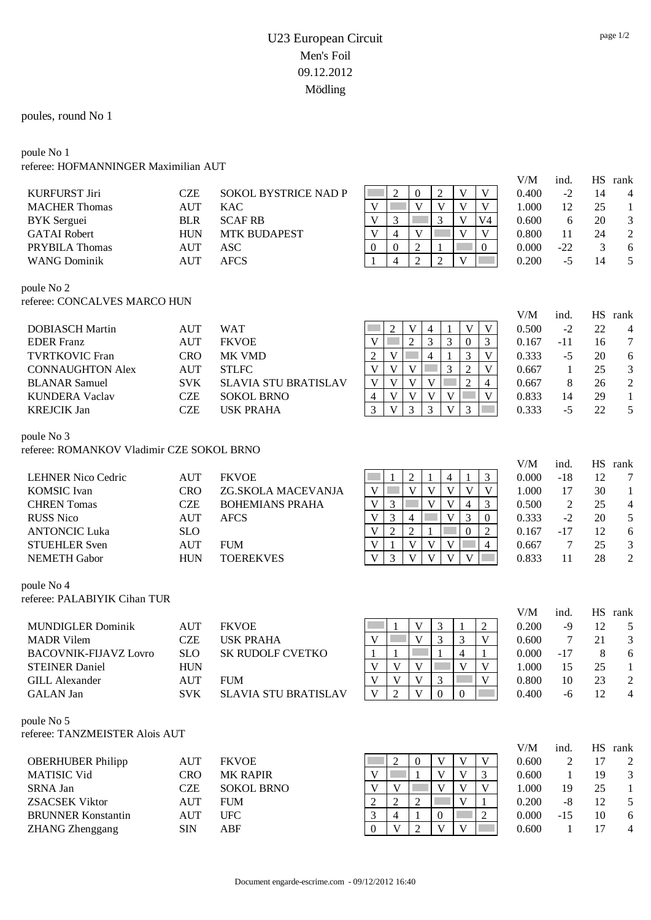### poules, round No 1

#### poule No 1 referee: HOFMANNINGER Maximilian AUT

|                                           |            |                             |                                                                                                                      | V/M          | ind.            | <b>HS</b>       | rank                     |
|-------------------------------------------|------------|-----------------------------|----------------------------------------------------------------------------------------------------------------------|--------------|-----------------|-----------------|--------------------------|
| <b>KURFURST Jiri</b>                      | <b>CZE</b> | <b>SOKOL BYSTRICE NAD P</b> | $\overline{2}$<br>$\mathfrak{2}$<br>$\theta$<br>V<br>V                                                               | 0.400        | $-2$            | 14              | 4                        |
| <b>MACHER Thomas</b>                      | <b>AUT</b> | <b>KAC</b>                  | $\mathbf{V}$<br>V<br>V<br>V<br>V                                                                                     | 1.000        | 12              | 25              | $\mathbf{1}$             |
| <b>BYK</b> Serguei                        | <b>BLR</b> | <b>SCAF RB</b>              | $\mathbf V$<br>3<br>3<br>V<br>V4                                                                                     | 0.600        | 6               | 20              | 3                        |
| <b>GATAI</b> Robert                       | <b>HUN</b> | <b>MTK BUDAPEST</b>         | $\mathbf{V}$<br>V<br>$\overline{4}$<br>V<br>V                                                                        | 0.800        | 11              | 24              | $\overline{c}$           |
| PRYBILA Thomas                            | <b>AUT</b> | <b>ASC</b>                  | $\overline{2}$<br>$\boldsymbol{0}$<br>$\boldsymbol{0}$<br>$\overline{0}$<br>1                                        | 0.000        | $-22$           | 3               | 6                        |
| <b>WANG Dominik</b>                       | <b>AUT</b> | <b>AFCS</b>                 | $\overline{2}$<br>$\overline{2}$<br>$\overline{4}$<br>V                                                              | 0.200        | $-5$            | 14              | 5                        |
| poule No 2                                |            |                             |                                                                                                                      |              |                 |                 |                          |
| referee: CONCALVES MARCO HUN              |            |                             |                                                                                                                      | V/M          | ind.            |                 | HS rank                  |
| <b>DOBIASCH Martin</b>                    | <b>AUT</b> | <b>WAT</b>                  | V<br>V<br>$\overline{c}$<br>V<br>$\overline{4}$                                                                      | 0.500        | $-2$            | 22              | $\overline{\mathcal{L}}$ |
| <b>EDER</b> Franz                         | <b>AUT</b> | <b>FKVOE</b>                | 3<br>3<br>$\overline{2}$<br>V<br>$\mathbf{0}$<br>3                                                                   | 0.167        | $-11$           | 16              | $\tau$                   |
| <b>TVRTKOVIC Fran</b>                     | <b>CRO</b> | MK VMD                      | $\mathbf{V}$<br>3<br>$\mathbf{V}$<br>$\overline{2}$<br>$\overline{4}$                                                | 0.333        | $-5$            | 20              | 6                        |
| <b>CONNAUGHTON Alex</b>                   | <b>AUT</b> | <b>STLFC</b>                | $\mathbf{V}$<br>$\mathbf{V}$<br>$\mathbf{V}$<br>3<br>$\overline{2}$<br>$\mathbf{V}$                                  | 0.667        | 1               | 25              | $\mathfrak{Z}$           |
| <b>BLANAR Samuel</b>                      | <b>SVK</b> | <b>SLAVIA STU BRATISLAV</b> | $\overline{2}$<br>$\mathbf V$<br>$\overline{\mathsf{V}}$<br>$\overline{\mathbf{V}}$<br>$\mathbf V$<br>$\overline{4}$ | 0.667        | 8               | 26              | $\sqrt{2}$               |
| <b>KUNDERA Vaclav</b>                     | <b>CZE</b> | <b>SOKOL BRNO</b>           | $\mathbf V$<br>$\mathbf{V}$<br>$\mathbf{V}$<br>$\mathbf{V}$<br>$\overline{4}$<br>$\mathbf V$                         | 0.833        | 14              | 29              | $\mathbf{1}$             |
| <b>KREJCIK Jan</b>                        | <b>CZE</b> | <b>USK PRAHA</b>            | 3<br>3<br>3<br>$\overline{\mathbf{V}}$<br>3<br>V                                                                     | 0.333        | $-5$            | 22              | 5                        |
|                                           |            |                             |                                                                                                                      |              |                 |                 |                          |
| poule No 3                                |            |                             |                                                                                                                      |              |                 |                 |                          |
| referee: ROMANKOV Vladimir CZE SOKOL BRNO |            |                             |                                                                                                                      | V/M          | ind.            | <b>HS</b>       | rank                     |
| <b>LEHNER Nico Cedric</b>                 | <b>AUT</b> | <b>FKVOE</b>                | $\overline{2}$<br>$\mathfrak{Z}$<br>4<br>1                                                                           | 0.000        | $-18$           | 12              | 7                        |
| <b>KOMSIC</b> Ivan                        | <b>CRO</b> | ZG.SKOLA MACEVANJA          | $\overline{V}$<br>$\overline{V}$<br>$\overline{\mathbf{V}}$<br>$\overline{\mathsf{V}}$<br>V<br>$\mathbf V$           | 1.000        | 17              | 30              | $\mathbf{1}$             |
| <b>CHREN Tomas</b>                        | <b>CZE</b> | <b>BOHEMIANS PRAHA</b>      | $\overline{\mathbf{V}}$<br>$\mathbf{V}$<br>$\mathfrak{Z}$<br>$\mathbf{V}$<br>3<br>$\overline{4}$                     | 0.500        | $\sqrt{2}$      | 25              | 4                        |
| <b>RUSS Nico</b>                          | <b>AUT</b> | <b>AFCS</b>                 | $\overline{V}$<br>3<br>3<br>V<br>4<br>$\boldsymbol{0}$                                                               | 0.333        | $-2$            | 20              | 5                        |
| <b>ANTONCIC Luka</b>                      | <b>SLO</b> |                             | $\overline{\mathsf{V}}$<br>$\overline{2}$<br>$\overline{2}$<br>$\mathbf{0}$<br>$\mathfrak{2}$<br>1                   | 0.167        | $-17$           | 12              | 6                        |
| <b>STUEHLER Sven</b>                      | <b>AUT</b> | <b>FUM</b>                  | $\mathbf V$<br>$\mathbf{1}$<br>V<br>$\mathbf V$<br>$\mathbf V$<br>$\overline{4}$                                     | 0.667        | $7\phantom{.0}$ | 25              | $\mathfrak{Z}$           |
| <b>NEMETH Gabor</b>                       | <b>HUN</b> | <b>TOEREKVES</b>            | $\overline{V}$<br>$\overline{V}$<br>3<br>V<br>V<br>$\overline{\mathbf{V}}$                                           | 0.833        | 11              | 28              | $\overline{2}$           |
|                                           |            |                             |                                                                                                                      |              |                 |                 |                          |
| poule No 4                                |            |                             |                                                                                                                      |              |                 |                 |                          |
| referee: PALABIYIK Cihan TUR              |            |                             |                                                                                                                      |              |                 |                 |                          |
| <b>MUNDIGLER Dominik</b>                  | <b>AUT</b> | <b>FKVOE</b>                | V<br>3<br>$\overline{2}$                                                                                             | V/M<br>0.200 | ind.<br>$-9$    | <b>HS</b><br>12 | rank<br>5                |
| <b>MADR</b> Vilem                         | <b>CZE</b> | <b>USK PRAHA</b>            | 3<br>$\mathbf V$<br>3<br>V<br>V                                                                                      | 0.600        | 7               | 21              | 3                        |
| <b>BACOVNIK-FIJAVZ Lovro</b>              | <b>SLO</b> | SK RUDOLF CVETKO            | $\overline{4}$<br>$\mathbf{1}$<br>$\mathbf{1}$<br>1                                                                  | 0.000        | $-17$           | 8               | 6                        |
| <b>STEINER Daniel</b>                     | <b>HUN</b> |                             | V<br>V<br>V<br>V<br>V                                                                                                | 1.000        | 15              | 25              | 1                        |
| <b>GILL Alexander</b>                     | <b>AUT</b> | <b>FUM</b>                  | $\mathbf V$<br>$\mathbf V$<br>$\mathbf V$<br>3<br>V                                                                  | 0.800        | 10              | 23              | $\overline{c}$           |
| <b>GALAN</b> Jan                          | <b>SVK</b> | <b>SLAVIA STU BRATISLAV</b> | $\overline{V}$<br>$\overline{\mathbf{V}}$<br>$\overline{2}$<br>$\overline{0}$<br>$\boldsymbol{0}$                    | 0.400        | $-6$            | 12              | $\overline{4}$           |
| poule No 5                                |            |                             |                                                                                                                      |              |                 |                 |                          |
| referee: TANZMEISTER Alois AUT            |            |                             |                                                                                                                      |              |                 |                 |                          |
|                                           |            |                             |                                                                                                                      | V/M          | ind.            |                 | HS rank                  |
| <b>OBERHUBER Philipp</b>                  | <b>AUT</b> | <b>FKVOE</b>                | $\overline{2}$<br>$\boldsymbol{0}$<br>V<br>V<br>V                                                                    | 0.600        | 2               | 17              | 2                        |
| MATISIC Vid                               | <b>CRO</b> | <b>MK RAPIR</b>             | $\overline{\mathsf{V}}$<br>$\overline{\mathbf{V}}$<br>$\overline{\mathbf{V}}$<br>$\mathbf{1}$<br>3                   | 0.600        | 1               | 19              | 3                        |
| SRNA Jan                                  | <b>CZE</b> | <b>SOKOL BRNO</b>           | $\mathbf{V}$<br>V<br>V<br>V<br>V                                                                                     | 1.000        | 19              | 25              | 1                        |
| <b>ZSACSEK Viktor</b>                     | <b>AUT</b> | <b>FUM</b>                  | $\overline{2}$<br>$\overline{2}$<br>2<br>V<br>1                                                                      | 0.200        | $-8$            | 12              | 5                        |
| <b>BRUNNER Konstantin</b>                 | <b>AUT</b> | <b>UFC</b>                  | 3<br>$\mathbf{1}$<br>$\overline{2}$<br>4<br>$\overline{0}$                                                           | 0.000        | $-15$           | 10              | 6                        |
| <b>ZHANG</b> Zhenggang                    | <b>SIN</b> | <b>ABF</b>                  | $\overline{2}$<br>$\mathbf V$<br>V<br>V<br>$\theta$                                                                  | 0.600        | -1              | 17              | 4                        |
|                                           |            |                             |                                                                                                                      |              |                 |                 |                          |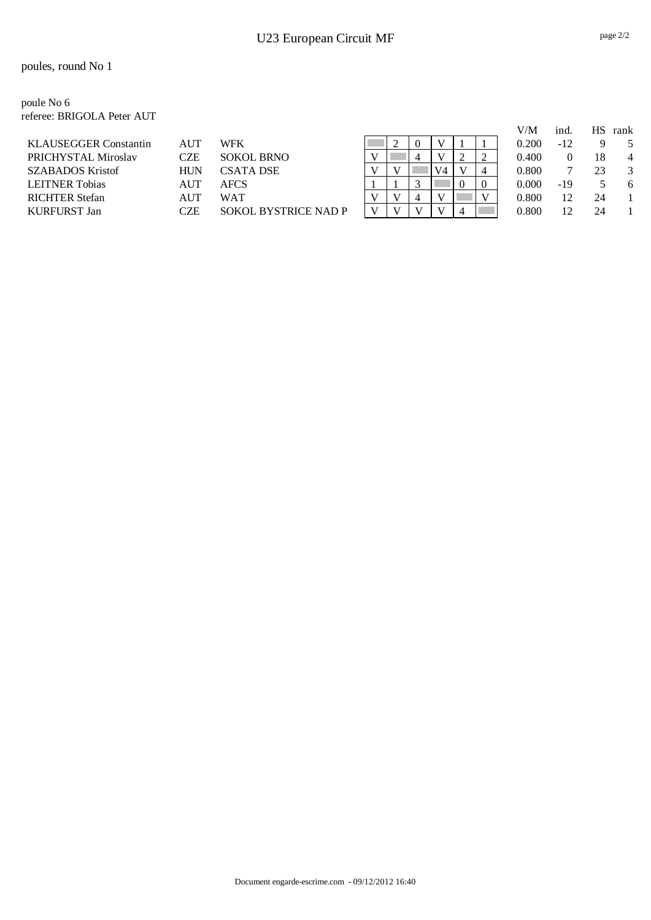poule No 6 referee: BRIGOLA Peter AUT

|                              |            |                             |  |          |    |                |   | V/M   | ind.  | НS | rank |
|------------------------------|------------|-----------------------------|--|----------|----|----------------|---|-------|-------|----|------|
| <b>KLAUSEGGER Constantin</b> | <b>AUT</b> | WFK                         |  | $\Omega$ |    |                |   | 0.200 | $-12$ |    |      |
| PRICHYSTAL Miroslav          | CZE        | <b>SOKOL BRNO</b>           |  | 4        |    |                | ∠ | 0.400 |       |    | 4    |
| <b>SZABADOS Kristof</b>      | <b>HUN</b> | <b>CSATA DSE</b>            |  |          | V4 |                | 4 | 0.800 |       | 23 | 3    |
| <b>LEITNER Tobias</b>        | AUT        | <b>AFCS</b>                 |  |          |    | $\theta$       |   | 0.000 | -19   |    | -6   |
| <b>RICHTER Stefan</b>        | AUT        | WAT                         |  | 4        |    |                |   | 0.800 |       | 24 |      |
| <b>KURFURST Jan</b>          | CZE        | <b>SOKOL BYSTRICE NAD P</b> |  |          |    | $\overline{4}$ |   | 0.800 |       | 24 |      |
|                              |            |                             |  |          |    |                |   |       |       |    |      |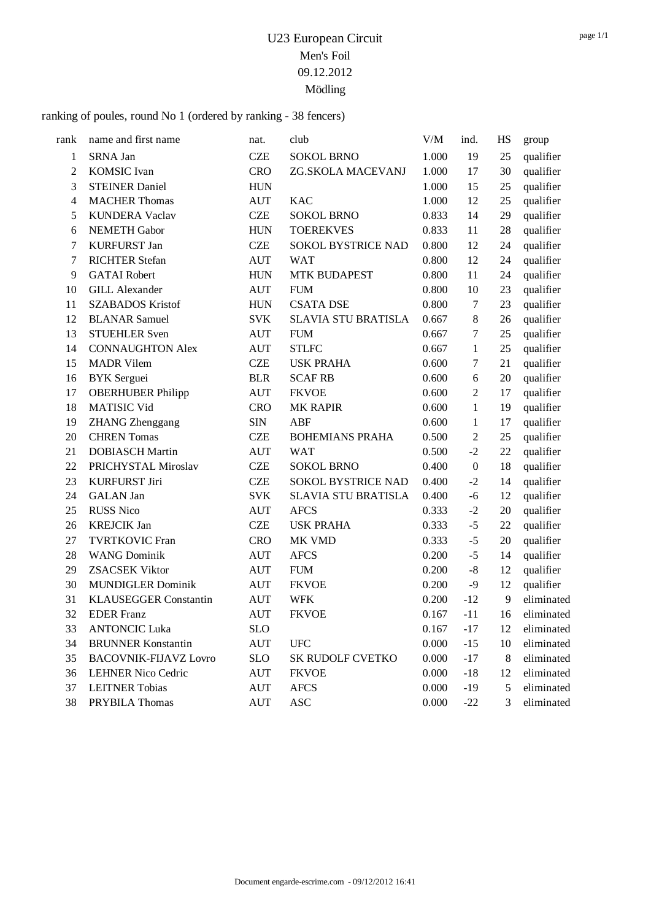ranking of poules, round No 1 (ordered by ranking - 38 fencers)

| rank           | name and first name          | nat.       | club                       | V/M   | ind.             | HS    | group      |
|----------------|------------------------------|------------|----------------------------|-------|------------------|-------|------------|
| $\mathbf{1}$   | SRNA Jan                     | <b>CZE</b> | <b>SOKOL BRNO</b>          | 1.000 | 19               | 25    | qualifier  |
| $\overline{c}$ | <b>KOMSIC</b> Ivan           | <b>CRO</b> | ZG.SKOLA MACEVANJ          | 1.000 | 17               | 30    | qualifier  |
| 3              | <b>STEINER Daniel</b>        | <b>HUN</b> |                            | 1.000 | 15               | 25    | qualifier  |
| $\overline{4}$ | <b>MACHER Thomas</b>         | <b>AUT</b> | <b>KAC</b>                 | 1.000 | 12               | 25    | qualifier  |
| 5              | <b>KUNDERA Vaclav</b>        | <b>CZE</b> | <b>SOKOL BRNO</b>          | 0.833 | 14               | 29    | qualifier  |
| 6              | <b>NEMETH Gabor</b>          | <b>HUN</b> | <b>TOEREKVES</b>           | 0.833 | 11               | 28    | qualifier  |
| 7              | <b>KURFURST Jan</b>          | <b>CZE</b> | SOKOL BYSTRICE NAD         | 0.800 | 12               | 24    | qualifier  |
| 7              | <b>RICHTER Stefan</b>        | <b>AUT</b> | <b>WAT</b>                 | 0.800 | 12               | 24    | qualifier  |
| 9              | <b>GATAI Robert</b>          | <b>HUN</b> | <b>MTK BUDAPEST</b>        | 0.800 | 11               | 24    | qualifier  |
| 10             | <b>GILL Alexander</b>        | <b>AUT</b> | <b>FUM</b>                 | 0.800 | 10               | 23    | qualifier  |
| 11             | <b>SZABADOS Kristof</b>      | <b>HUN</b> | <b>CSATA DSE</b>           | 0.800 | 7                | 23    | qualifier  |
| 12             | <b>BLANAR Samuel</b>         | <b>SVK</b> | <b>SLAVIA STU BRATISLA</b> | 0.667 | $\,8\,$          | 26    | qualifier  |
| 13             | <b>STUEHLER Sven</b>         | <b>AUT</b> | <b>FUM</b>                 | 0.667 | 7                | 25    | qualifier  |
| 14             | <b>CONNAUGHTON Alex</b>      | <b>AUT</b> | <b>STLFC</b>               | 0.667 | 1                | 25    | qualifier  |
| 15             | <b>MADR Vilem</b>            | <b>CZE</b> | <b>USK PRAHA</b>           | 0.600 | 7                | 21    | qualifier  |
| 16             | <b>BYK</b> Serguei           | <b>BLR</b> | <b>SCAF RB</b>             | 0.600 | 6                | 20    | qualifier  |
| 17             | <b>OBERHUBER Philipp</b>     | <b>AUT</b> | <b>FKVOE</b>               | 0.600 | $\overline{2}$   | 17    | qualifier  |
| 18             | <b>MATISIC Vid</b>           | <b>CRO</b> | <b>MK RAPIR</b>            | 0.600 | 1                | 19    | qualifier  |
| 19             | <b>ZHANG</b> Zhenggang       | <b>SIN</b> | ABF                        | 0.600 | 1                | 17    | qualifier  |
| 20             | <b>CHREN</b> Tomas           | <b>CZE</b> | <b>BOHEMIANS PRAHA</b>     | 0.500 | $\overline{2}$   | 25    | qualifier  |
| 21             | <b>DOBIASCH Martin</b>       | <b>AUT</b> | <b>WAT</b>                 | 0.500 | $-2$             | 22    | qualifier  |
| 22             | PRICHYSTAL Miroslav          | <b>CZE</b> | <b>SOKOL BRNO</b>          | 0.400 | $\boldsymbol{0}$ | 18    | qualifier  |
| 23             | <b>KURFURST Jiri</b>         | <b>CZE</b> | SOKOL BYSTRICE NAD         | 0.400 | $-2$             | 14    | qualifier  |
| 24             | <b>GALAN</b> Jan             | <b>SVK</b> | <b>SLAVIA STU BRATISLA</b> | 0.400 | $-6$             | 12    | qualifier  |
| 25             | <b>RUSS Nico</b>             | <b>AUT</b> | <b>AFCS</b>                | 0.333 | $-2$             | 20    | qualifier  |
| 26             | <b>KREJCIK Jan</b>           | <b>CZE</b> | <b>USK PRAHA</b>           | 0.333 | $-5$             | 22    | qualifier  |
| 27             | <b>TVRTKOVIC Fran</b>        | <b>CRO</b> | MK VMD                     | 0.333 | $-5$             | 20    | qualifier  |
| 28             | <b>WANG Dominik</b>          | <b>AUT</b> | <b>AFCS</b>                | 0.200 | $-5$             | 14    | qualifier  |
| 29             | <b>ZSACSEK Viktor</b>        | <b>AUT</b> | <b>FUM</b>                 | 0.200 | $\mbox{-}8$      | 12    | qualifier  |
| 30             | <b>MUNDIGLER Dominik</b>     | <b>AUT</b> | <b>FKVOE</b>               | 0.200 | $-9$             | 12    | qualifier  |
| 31             | <b>KLAUSEGGER Constantin</b> | <b>AUT</b> | <b>WFK</b>                 | 0.200 | $-12$            | 9     | eliminated |
| 32             | <b>EDER</b> Franz            | <b>AUT</b> | <b>FKVOE</b>               | 0.167 | $-11$            | 16    | eliminated |
| 33             | <b>ANTONCIC Luka</b>         | <b>SLO</b> |                            | 0.167 | $-17$            | 12    | eliminated |
| 34             | <b>BRUNNER Konstantin</b>    | <b>AUT</b> | <b>UFC</b>                 | 0.000 | $-15$            | 10    | eliminated |
| 35             | <b>BACOVNIK-FIJAVZ Lovro</b> | <b>SLO</b> | SK RUDOLF CVETKO           | 0.000 | $-17$            | $8\,$ | eliminated |
| 36             | <b>LEHNER Nico Cedric</b>    | <b>AUT</b> | <b>FKVOE</b>               | 0.000 | $-18$            | 12    | eliminated |
| 37             | <b>LEITNER Tobias</b>        | <b>AUT</b> | <b>AFCS</b>                | 0.000 | $-19$            | 5     | eliminated |
| 38             | PRYBILA Thomas               | <b>AUT</b> | <b>ASC</b>                 | 0.000 | $-22$            | 3     | eliminated |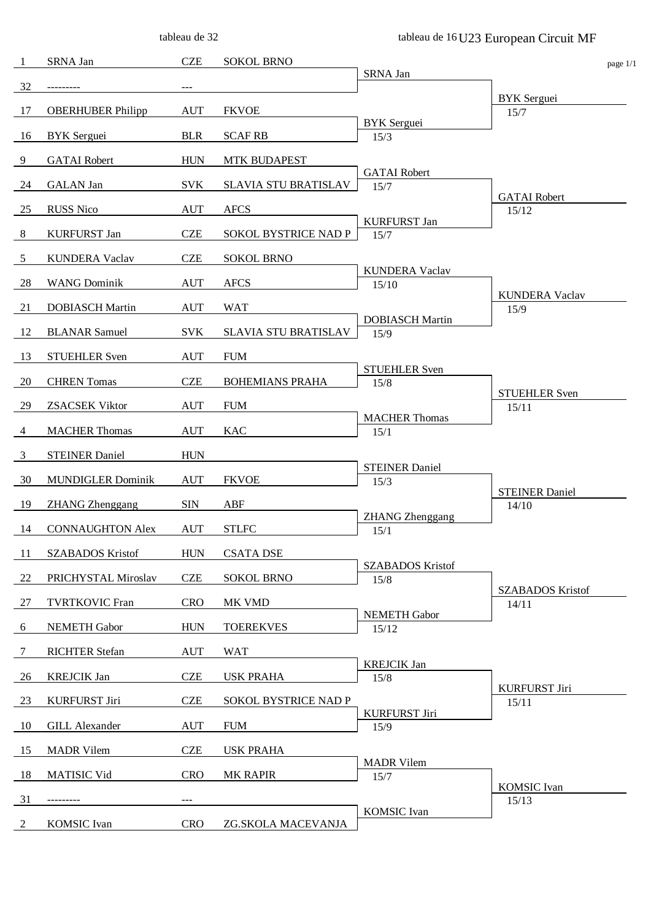tableau de 32

| -1              | SRNA Jan                 | <b>CZE</b> | <b>SOKOL BRNO</b>      |                                 | page 1/1                       |
|-----------------|--------------------------|------------|------------------------|---------------------------------|--------------------------------|
| 32              | ---------                | ---        |                        | SRNA Jan                        |                                |
| 17              | <b>OBERHUBER Philipp</b> | <b>AUT</b> | <b>FKVOE</b>           |                                 | <b>BYK</b> Serguei<br>15/7     |
| 16              | <b>BYK</b> Serguei       | <b>BLR</b> | <b>SCAF RB</b>         | <b>BYK</b> Serguei<br>15/3      |                                |
| 9               | <b>GATAI</b> Robert      | <b>HUN</b> | <b>MTK BUDAPEST</b>    |                                 |                                |
| 24              | <b>GALAN</b> Jan         | <b>SVK</b> | SLAVIA STU BRATISLAV   | <b>GATAI</b> Robert<br>15/7     |                                |
| 25              | <b>RUSS Nico</b>         | <b>AUT</b> | <b>AFCS</b>            |                                 | <b>GATAI</b> Robert<br>15/12   |
| $8\phantom{.0}$ | <b>KURFURST Jan</b>      | <b>CZE</b> | SOKOL BYSTRICE NAD P   | <b>KURFURST Jan</b><br>15/7     |                                |
| $\overline{5}$  | <b>KUNDERA Vaclav</b>    | <b>CZE</b> | <b>SOKOL BRNO</b>      |                                 |                                |
| 28              | <b>WANG Dominik</b>      | <b>AUT</b> | <b>AFCS</b>            | <b>KUNDERA Vaclav</b><br>15/10  |                                |
| 21              | <b>DOBIASCH Martin</b>   | <b>AUT</b> | <b>WAT</b>             |                                 | <b>KUNDERA Vaclav</b><br>15/9  |
| 12              | <b>BLANAR Samuel</b>     | <b>SVK</b> | SLAVIA STU BRATISLAV   | <b>DOBIASCH Martin</b><br>15/9  |                                |
| 13              | <b>STUEHLER Sven</b>     | <b>AUT</b> | <b>FUM</b>             |                                 |                                |
| 20              | <b>CHREN</b> Tomas       | <b>CZE</b> | <b>BOHEMIANS PRAHA</b> | <b>STUEHLER Sven</b><br>15/8    |                                |
| 29              | <b>ZSACSEK Viktor</b>    | <b>AUT</b> | <b>FUM</b>             |                                 | <b>STUEHLER Sven</b><br>15/11  |
| 4               | <b>MACHER Thomas</b>     | <b>AUT</b> | <b>KAC</b>             | <b>MACHER Thomas</b><br>15/1    |                                |
| $\overline{3}$  | <b>STEINER Daniel</b>    | <b>HUN</b> |                        |                                 |                                |
| 30              | <b>MUNDIGLER Dominik</b> | <b>AUT</b> | <b>FKVOE</b>           | <b>STEINER Daniel</b><br>15/3   |                                |
| 19              | <b>ZHANG</b> Zhenggang   | <b>SIN</b> | ABF                    |                                 | <b>STEINER Daniel</b><br>14/10 |
| 14              | <b>CONNAUGHTON Alex</b>  | <b>AUT</b> | <b>STLFC</b>           | <b>ZHANG</b> Zhenggang<br>15/1  |                                |
| -11             | <b>SZABADOS Kristof</b>  | <b>HUN</b> | <b>CSATA DSE</b>       |                                 |                                |
| 22              | PRICHYSTAL Miroslav      | <b>CZE</b> | <b>SOKOL BRNO</b>      | <b>SZABADOS Kristof</b><br>15/8 |                                |
| 27              | <b>TVRTKOVIC Fran</b>    | <b>CRO</b> | MK VMD                 |                                 | <b>SZABADOS Kristof</b>        |
|                 |                          |            |                        | <b>NEMETH Gabor</b>             | 14/11                          |
| 6               | NEMETH Gabor             | <b>HUN</b> | <b>TOEREKVES</b>       | 15/12                           |                                |
| 7               | <b>RICHTER Stefan</b>    | <b>AUT</b> | <b>WAT</b>             |                                 |                                |
| 26              | <b>KREJCIK Jan</b>       | <b>CZE</b> | <b>USK PRAHA</b>       | <b>KREJCIK Jan</b><br>15/8      |                                |
| 23              | <b>KURFURST Jiri</b>     | <b>CZE</b> | SOKOL BYSTRICE NAD P   |                                 | <b>KURFURST Jiri</b><br>15/11  |
| 10              | <b>GILL Alexander</b>    | <b>AUT</b> | <b>FUM</b>             | <b>KURFURST Jiri</b><br>15/9    |                                |
| 15              | <b>MADR</b> Vilem        | <b>CZE</b> | <b>USK PRAHA</b>       |                                 |                                |
| 18              | <b>MATISIC Vid</b>       | <b>CRO</b> | <b>MK RAPIR</b>        | <b>MADR</b> Vilem               |                                |
|                 |                          |            |                        | 15/7                            | <b>KOMSIC</b> Ivan             |
| 31              | -------                  |            |                        | <b>KOMSIC</b> Ivan              | 15/13                          |
| 2               | <b>KOMSIC</b> Ivan       | <b>CRO</b> | ZG.SKOLA MACEVANJA     |                                 |                                |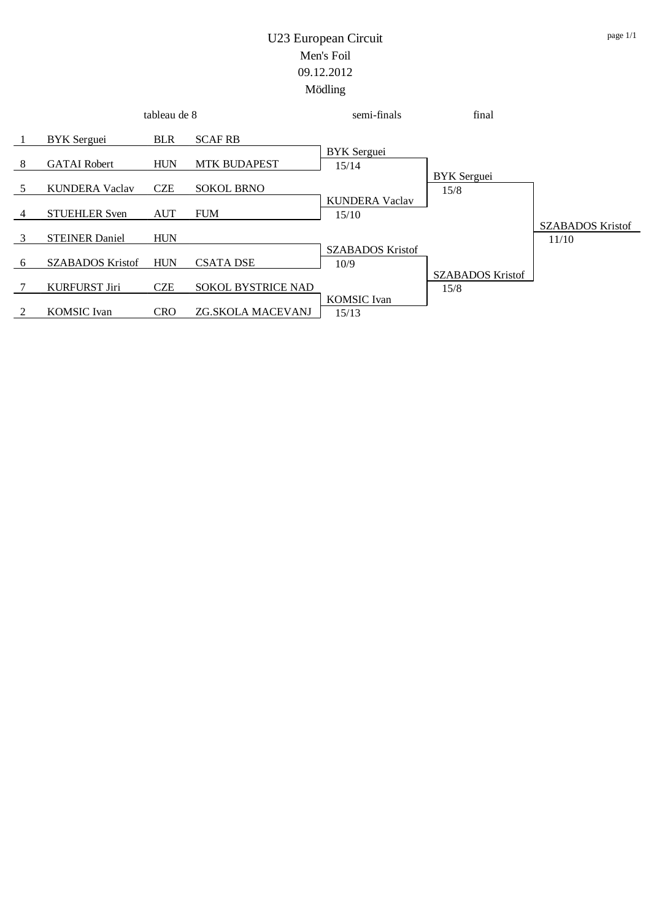